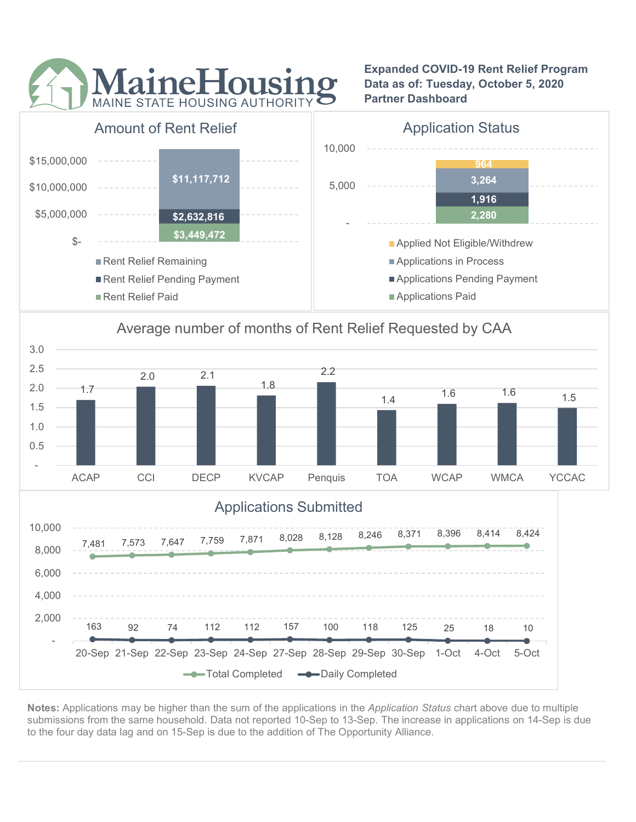

<u>- <del>- - - - - - -</del></u>

Expanded COVID-19 Rent Relief Program Data as of: Tuesday, October 5, 2020 Partner Dashboard



# Average number of months of Rent Relief Requested by CAA



Notes: Applications may be higher than the sum of the applications in the Application Status chart above due to multiple submissions from the same household. Data not reported 10-Sep to 13-Sep. The increase in applications on 14-Sep is due to the four day data lag and on 15-Sep is due to the addition of The Opportunity Alliance.

Total Completed  $\longrightarrow$  Daily Completed

163 92 74 112 112 157 100 118 125 25 18 10